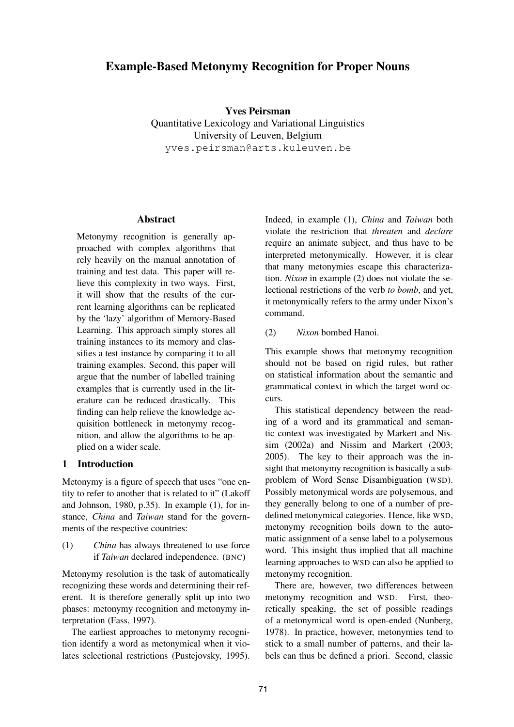# **Example-Based Metonymy Recognition for Proper Nouns**

**Yves Peirsman** Quantitative Lexicology and Variational Linguistics University of Leuven, Belgium yves.peirsman@arts.kuleuven.be

# **Abstract**

Metonymy recognition is generally approached with complex algorithms that rely heavily on the manual annotation of training and test data. This paper will relieve this complexity in two ways. First, it will show that the results of the current learning algorithms can be replicated by the 'lazy' algorithm of Memory-Based Learning. This approach simply stores all training instances to its memory and classifies a test instance by comparing it to all training examples. Second, this paper will argue that the number of labelled training examples that is currently used in the literature can be reduced drastically. This finding can help relieve the knowledge acquisition bottleneck in metonymy recognition, and allow the algorithms to be applied on a wider scale.

## **1 Introduction**

Metonymy is a figure of speech that uses "one entity to refer to another that is related to it" (Lakoff and Johnson, 1980, p.35). In example (1), for instance, *China* and *Taiwan* stand for the governments of the respective countries:

(1) *China* has always threatened to use force if *Taiwan* declared independence. (BNC)

Metonymy resolution is the task of automatically recognizing these words and determining their referent. It is therefore generally split up into two phases: metonymy recognition and metonymy interpretation (Fass, 1997).

The earliest approaches to metonymy recognition identify a word as metonymical when it violates selectional restrictions (Pustejovsky, 1995). Indeed, in example (1), *China* and *Taiwan* both violate the restriction that *threaten* and *declare* require an animate subject, and thus have to be interpreted metonymically. However, it is clear that many metonymies escape this characterization. *Nixon* in example (2) does not violate the selectional restrictions of the verb *to bomb*, and yet, it metonymically refers to the army under Nixon's command.

## (2) *Nixon* bombed Hanoi.

This example shows that metonymy recognition should not be based on rigid rules, but rather on statistical information about the semantic and grammatical context in which the target word occurs.

This statistical dependency between the reading of a word and its grammatical and semantic context was investigated by Markert and Nissim (2002a) and Nissim and Markert (2003; 2005). The key to their approach was the insight that metonymy recognition is basically a subproblem of Word Sense Disambiguation (WSD). Possibly metonymical words are polysemous, and they generally belong to one of a number of predefined metonymical categories. Hence, like WSD, metonymy recognition boils down to the automatic assignment of a sense label to a polysemous word. This insight thus implied that all machine learning approaches to WSD can also be applied to metonymy recognition.

There are, however, two differences between metonymy recognition and WSD. First, theoretically speaking, the set of possible readings of a metonymical word is open-ended (Nunberg, 1978). In practice, however, metonymies tend to stick to a small number of patterns, and their labels can thus be defined a priori. Second, classic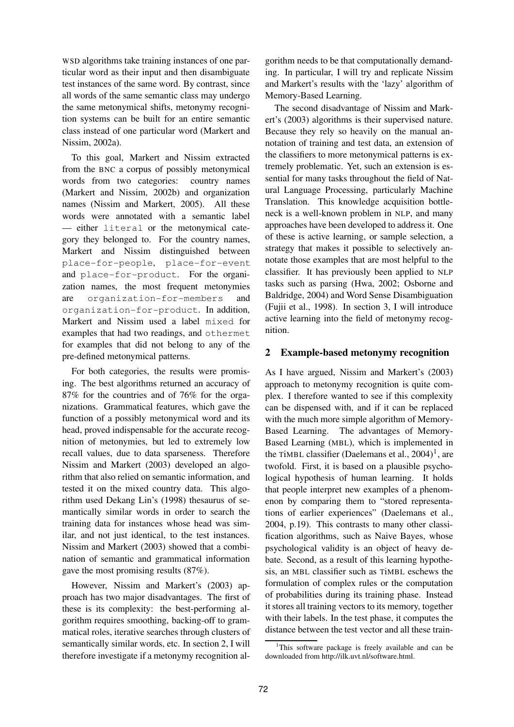WSD algorithms take training instances of one particular word as their input and then disambiguate test instances of the same word. By contrast, since all words of the same semantic class may undergo the same metonymical shifts, metonymy recognition systems can be built for an entire semantic class instead of one particular word (Markert and Nissim, 2002a).

To this goal, Markert and Nissim extracted from the BNC a corpus of possibly metonymical words from two categories: country names (Markert and Nissim, 2002b) and organization names (Nissim and Markert, 2005). All these words were annotated with a semantic label — either literal or the metonymical category they belonged to. For the country names, Markert and Nissim distinguished between place-for-people, place-for-event and place-for-product. For the organization names, the most frequent metonymies are organization-for-members and organization-for-product. In addition, Markert and Nissim used a label mixed for examples that had two readings, and othermet for examples that did not belong to any of the pre-defined metonymical patterns.

For both categories, the results were promising. The best algorithms returned an accuracy of 87% for the countries and of 76% for the organizations. Grammatical features, which gave the function of a possibly metonymical word and its head, proved indispensable for the accurate recognition of metonymies, but led to extremely low recall values, due to data sparseness. Therefore Nissim and Markert (2003) developed an algorithm that also relied on semantic information, and tested it on the mixed country data. This algorithm used Dekang Lin's (1998) thesaurus of semantically similar words in order to search the training data for instances whose head was similar, and not just identical, to the test instances. Nissim and Markert (2003) showed that a combination of semantic and grammatical information gave the most promising results (87%).

However, Nissim and Markert's (2003) approach has two major disadvantages. The first of these is its complexity: the best-performing algorithm requires smoothing, backing-off to grammatical roles, iterative searches through clusters of semantically similar words, etc. In section 2, I will therefore investigate if a metonymy recognition al-

gorithm needs to be that computationally demanding. In particular, I will try and replicate Nissim and Markert's results with the 'lazy' algorithm of Memory-Based Learning.

The second disadvantage of Nissim and Markert's (2003) algorithms is their supervised nature. Because they rely so heavily on the manual annotation of training and test data, an extension of the classifiers to more metonymical patterns is extremely problematic. Yet, such an extension is essential for many tasks throughout the field of Natural Language Processing, particularly Machine Translation. This knowledge acquisition bottleneck is a well-known problem in NLP, and many approaches have been developed to address it. One of these is active learning, or sample selection, a strategy that makes it possible to selectively annotate those examples that are most helpful to the classifier. It has previously been applied to NLP tasks such as parsing (Hwa, 2002; Osborne and Baldridge, 2004) and Word Sense Disambiguation (Fujii et al., 1998). In section 3, I will introduce active learning into the field of metonymy recognition.

## **2 Example-based metonymy recognition**

As I have argued, Nissim and Markert's (2003) approach to metonymy recognition is quite complex. I therefore wanted to see if this complexity can be dispensed with, and if it can be replaced with the much more simple algorithm of Memory-Based Learning. The advantages of Memory-Based Learning (MBL), which is implemented in the TiMBL classifier (Daelemans et al.,  $2004$ )<sup>1</sup>, are twofold. First, it is based on a plausible psychological hypothesis of human learning. It holds that people interpret new examples of a phenomenon by comparing them to "stored representations of earlier experiences" (Daelemans et al., 2004, p.19). This contrasts to many other classification algorithms, such as Naive Bayes, whose psychological validity is an object of heavy debate. Second, as a result of this learning hypothesis, an MBL classifier such as TiMBL eschews the formulation of complex rules or the computation of probabilities during its training phase. Instead it stores all training vectors to its memory, together with their labels. In the test phase, it computes the distance between the test vector and all these train-

<sup>&</sup>lt;sup>1</sup>This software package is freely available and can be downloaded from http://ilk.uvt.nl/software.html.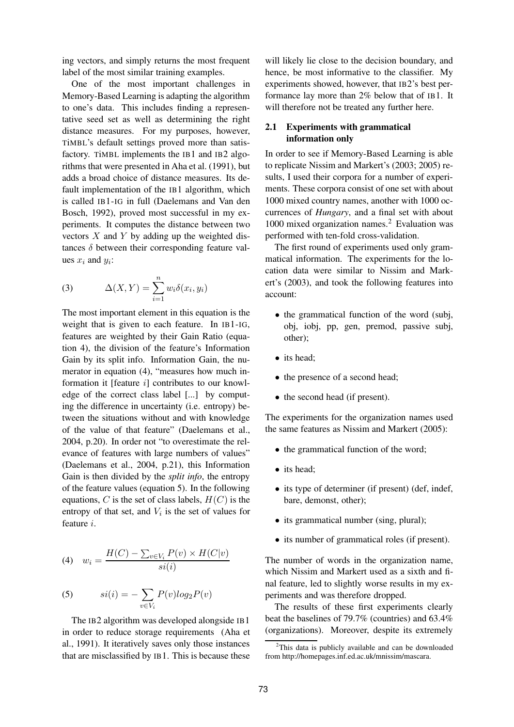ing vectors, and simply returns the most frequent label of the most similar training examples.

One of the most important challenges in Memory-Based Learning is adapting the algorithm to one's data. This includes finding a representative seed set as well as determining the right distance measures. For my purposes, however, TiMBL's default settings proved more than satisfactory. TiMBL implements the IB1 and IB2 algorithms that were presented in Aha et al. (1991), but adds a broad choice of distance measures. Its default implementation of the IB1 algorithm, which is called IB1-IG in full (Daelemans and Van den Bosch, 1992), proved most successful in my experiments. It computes the distance between two vectors  $X$  and  $Y$  by adding up the weighted distances  $\delta$  between their corresponding feature values  $x_i$  and  $y_i$ :

(3) 
$$
\Delta(X,Y) = \sum_{i=1}^{n} w_i \delta(x_i, y_i)
$$

The most important element in this equation is the weight that is given to each feature. In IB1-IG, features are weighted by their Gain Ratio (equation 4), the division of the feature's Information Gain by its split info. Information Gain, the numerator in equation (4), "measures how much information it [feature i] contributes to our knowledge of the correct class label [...] by computing the difference in uncertainty (i.e. entropy) between the situations without and with knowledge of the value of that feature" (Daelemans et al., 2004, p.20). In order not "to overestimate the relevance of features with large numbers of values" (Daelemans et al., 2004, p.21), this Information Gain is then divided by the *split info*, the entropy of the feature values (equation 5). In the following equations, C is the set of class labels,  $H(C)$  is the entropy of that set, and  $V_i$  is the set of values for feature i.

$$
(4) \t w_i = \frac{H(C) - \sum_{v \in V_i} P(v) \times H(C|v)}{si(i)}
$$

(5) 
$$
si(i) = -\sum_{v \in V_i} P(v)log_2 P(v)
$$

The IB<sub>2</sub> algorithm was developed alongside IB<sub>1</sub> in order to reduce storage requirements (Aha et al., 1991). It iteratively saves only those instances that are misclassified by IB1. This is because these

will likely lie close to the decision boundary, and hence, be most informative to the classifier. My experiments showed, however, that IB2's best performance lay more than 2% below that of IB1. It will therefore not be treated any further here.

## **2.1 Experiments with grammatical information only**

In order to see if Memory-Based Learning is able to replicate Nissim and Markert's (2003; 2005) results, I used their corpora for a number of experiments. These corpora consist of one set with about 1000 mixed country names, another with 1000 occurrences of *Hungary*, and a final set with about 1000 mixed organization names.<sup>2</sup> Evaluation was performed with ten-fold cross-validation.

The first round of experiments used only grammatical information. The experiments for the location data were similar to Nissim and Markert's (2003), and took the following features into account:

- the grammatical function of the word (subj, obj, iobj, pp, gen, premod, passive subj, other);
- its head;
- the presence of a second head;
- the second head (if present).

The experiments for the organization names used the same features as Nissim and Markert (2005):

- the grammatical function of the word;
- its head:
- its type of determiner (if present) (def, indef, bare, demonst, other);
- its grammatical number (sing, plural);
- its number of grammatical roles (if present).

The number of words in the organization name, which Nissim and Markert used as a sixth and final feature, led to slightly worse results in my experiments and was therefore dropped.

The results of these first experiments clearly beat the baselines of 79.7% (countries) and 63.4% (organizations). Moreover, despite its extremely

 $2$ This data is publicly available and can be downloaded from http://homepages.inf.ed.ac.uk/mnissim/mascara.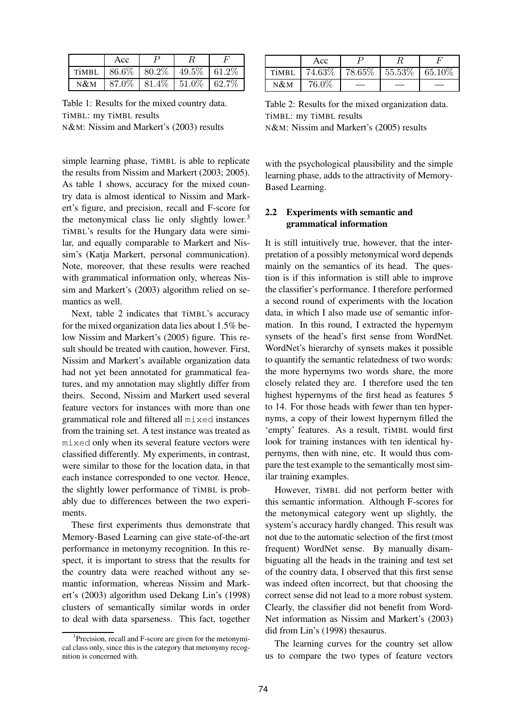|        | Acc |                                                   |  |
|--------|-----|---------------------------------------------------|--|
|        |     | TIMBL   $86.6\%$   $80.2\%$   $49.5\%$   $61.2\%$ |  |
| $N\&M$ |     | 87.0\%   81.4\%   51.0\%   62.7\%                 |  |

Table 1: Results for the mixed country data. TiMBL: my TiMBL results N&M: Nissim and Markert's (2003) results

simple learning phase, TiMBL is able to replicate the results from Nissim and Markert (2003; 2005). As table 1 shows, accuracy for the mixed country data is almost identical to Nissim and Markert's figure, and precision, recall and F-score for the metonymical class lie only slightly lower. $3$ TiMBL's results for the Hungary data were similar, and equally comparable to Markert and Nissim's (Katja Markert, personal communication). Note, moreover, that these results were reached with grammatical information only, whereas Nissim and Markert's (2003) algorithm relied on semantics as well.

Next, table 2 indicates that TiMBL's accuracy for the mixed organization data lies about 1.5% below Nissim and Markert's (2005) figure. This result should be treated with caution, however. First, Nissim and Markert's available organization data had not yet been annotated for grammatical features, and my annotation may slightly differ from theirs. Second, Nissim and Markert used several feature vectors for instances with more than one grammatical role and filtered all mixed instances from the training set. A test instance was treated as mixed only when its several feature vectors were classified differently. My experiments, in contrast, were similar to those for the location data, in that each instance corresponded to one vector. Hence, the slightly lower performance of TiMBL is probably due to differences between the two experiments.

These first experiments thus demonstrate that Memory-Based Learning can give state-of-the-art performance in metonymy recognition. In this respect, it is important to stress that the results for the country data were reached without any semantic information, whereas Nissim and Markert's (2003) algorithm used Dekang Lin's (1998) clusters of semantically similar words in order to deal with data sparseness. This fact, together

|        | Acc   |                                       |  |
|--------|-------|---------------------------------------|--|
| TİMBL  |       | 74.63\%   78.65\%   55.53\%   65.10\% |  |
| $N\&M$ | 76.0% |                                       |  |

Table 2: Results for the mixed organization data. TiMBL: my TiMBL results N&M: Nissim and Markert's (2005) results

with the psychological plausibility and the simple learning phase, adds to the attractivity of Memory-Based Learning.

## **2.2 Experiments with semantic and grammatical information**

It is still intuitively true, however, that the interpretation of a possibly metonymical word depends mainly on the semantics of its head. The question is if this information is still able to improve the classifier's performance. I therefore performed a second round of experiments with the location data, in which I also made use of semantic information. In this round, I extracted the hypernym synsets of the head's first sense from WordNet. WordNet's hierarchy of synsets makes it possible to quantify the semantic relatedness of two words: the more hypernyms two words share, the more closely related they are. I therefore used the ten highest hypernyms of the first head as features 5 to 14. For those heads with fewer than ten hypernyms, a copy of their lowest hypernym filled the 'empty' features. As a result, TiMBL would first look for training instances with ten identical hypernyms, then with nine, etc. It would thus compare the test example to the semantically most similar training examples.

However, TiMBL did not perform better with this semantic information. Although F-scores for the metonymical category went up slightly, the system's accuracy hardly changed. This result was not due to the automatic selection of the first (most frequent) WordNet sense. By manually disambiguating all the heads in the training and test set of the country data, I observed that this first sense was indeed often incorrect, but that choosing the correct sense did not lead to a more robust system. Clearly, the classifier did not benefit from Word-Net information as Nissim and Markert's (2003) did from Lin's (1998) thesaurus.

The learning curves for the country set allow us to compare the two types of feature vectors

<sup>&</sup>lt;sup>3</sup>Precision, recall and F-score are given for the metonymical class only, since this is the category that metonymy recognition is concerned with.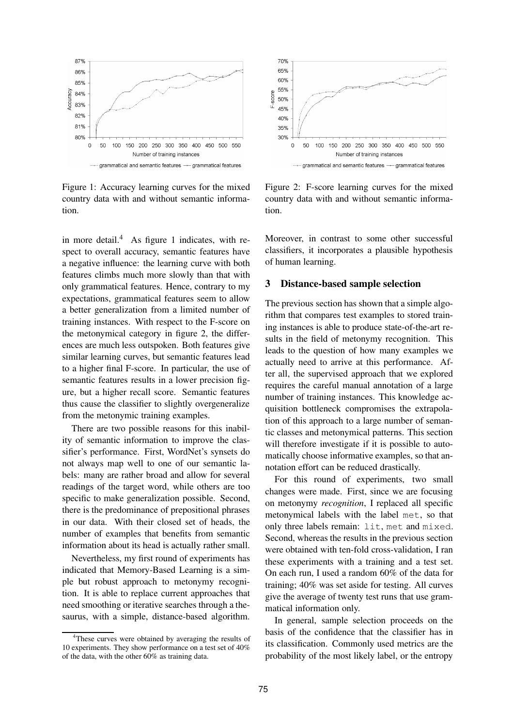

Figure 1: Accuracy learning curves for the mixed country data with and without semantic information.

in more detail. $4$  As figure 1 indicates, with respect to overall accuracy, semantic features have a negative influence: the learning curve with both features climbs much more slowly than that with only grammatical features. Hence, contrary to my expectations, grammatical features seem to allow a better generalization from a limited number of training instances. With respect to the F-score on the metonymical category in figure 2, the differences are much less outspoken. Both features give similar learning curves, but semantic features lead to a higher final F-score. In particular, the use of semantic features results in a lower precision figure, but a higher recall score. Semantic features thus cause the classifier to slightly overgeneralize from the metonymic training examples.

There are two possible reasons for this inability of semantic information to improve the classifier's performance. First, WordNet's synsets do not always map well to one of our semantic labels: many are rather broad and allow for several readings of the target word, while others are too specific to make generalization possible. Second, there is the predominance of prepositional phrases in our data. With their closed set of heads, the number of examples that benefits from semantic information about its head is actually rather small.

Nevertheless, my first round of experiments has indicated that Memory-Based Learning is a simple but robust approach to metonymy recognition. It is able to replace current approaches that need smoothing or iterative searches through a thesaurus, with a simple, distance-based algorithm.



Figure 2: F-score learning curves for the mixed country data with and without semantic information.

Moreover, in contrast to some other successful classifiers, it incorporates a plausible hypothesis of human learning.

## **3 Distance-based sample selection**

The previous section has shown that a simple algorithm that compares test examples to stored training instances is able to produce state-of-the-art results in the field of metonymy recognition. This leads to the question of how many examples we actually need to arrive at this performance. After all, the supervised approach that we explored requires the careful manual annotation of a large number of training instances. This knowledge acquisition bottleneck compromises the extrapolation of this approach to a large number of semantic classes and metonymical patterns. This section will therefore investigate if it is possible to automatically choose informative examples, so that annotation effort can be reduced drastically.

For this round of experiments, two small changes were made. First, since we are focusing on metonymy *recognition*, I replaced all specific metonymical labels with the label met, so that only three labels remain: lit, met and mixed. Second, whereas the results in the previous section were obtained with ten-fold cross-validation, I ran these experiments with a training and a test set. On each run, I used a random 60% of the data for training; 40% was set aside for testing. All curves give the average of twenty test runs that use grammatical information only.

In general, sample selection proceeds on the basis of the confidence that the classifier has in its classification. Commonly used metrics are the probability of the most likely label, or the entropy

<sup>&</sup>lt;sup>4</sup>These curves were obtained by averaging the results of 10 experiments. They show performance on a test set of 40% of the data, with the other 60% as training data.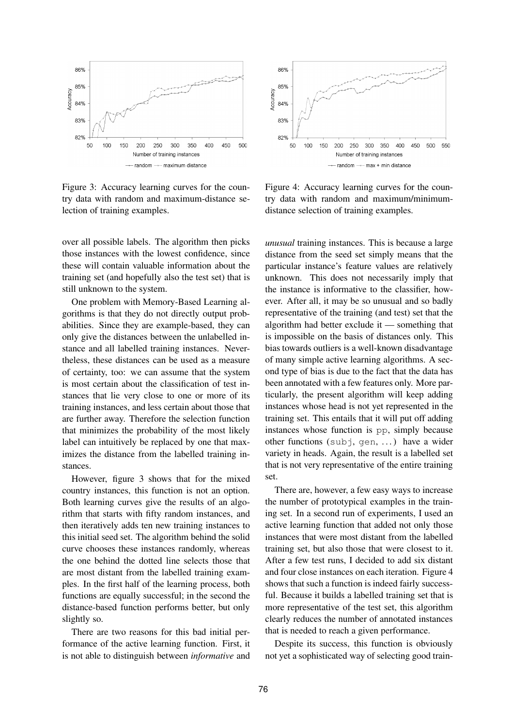

Figure 3: Accuracy learning curves for the country data with random and maximum-distance selection of training examples.

over all possible labels. The algorithm then picks those instances with the lowest confidence, since these will contain valuable information about the training set (and hopefully also the test set) that is still unknown to the system.

One problem with Memory-Based Learning algorithms is that they do not directly output probabilities. Since they are example-based, they can only give the distances between the unlabelled instance and all labelled training instances. Nevertheless, these distances can be used as a measure of certainty, too: we can assume that the system is most certain about the classification of test instances that lie very close to one or more of its training instances, and less certain about those that are further away. Therefore the selection function that minimizes the probability of the most likely label can intuitively be replaced by one that maximizes the distance from the labelled training instances.

However, figure 3 shows that for the mixed country instances, this function is not an option. Both learning curves give the results of an algorithm that starts with fifty random instances, and then iteratively adds ten new training instances to this initial seed set. The algorithm behind the solid curve chooses these instances randomly, whereas the one behind the dotted line selects those that are most distant from the labelled training examples. In the first half of the learning process, both functions are equally successful; in the second the distance-based function performs better, but only slightly so.

There are two reasons for this bad initial performance of the active learning function. First, it is not able to distinguish between *informative* and



Figure 4: Accuracy learning curves for the country data with random and maximum/minimumdistance selection of training examples.

*unusual* training instances. This is because a large distance from the seed set simply means that the particular instance's feature values are relatively unknown. This does not necessarily imply that the instance is informative to the classifier, however. After all, it may be so unusual and so badly representative of the training (and test) set that the algorithm had better exclude it — something that is impossible on the basis of distances only. This bias towards outliers is a well-known disadvantage of many simple active learning algorithms. A second type of bias is due to the fact that the data has been annotated with a few features only. More particularly, the present algorithm will keep adding instances whose head is not yet represented in the training set. This entails that it will put off adding instances whose function is pp, simply because other functions (subj, gen, ...) have a wider variety in heads. Again, the result is a labelled set that is not very representative of the entire training set.

There are, however, a few easy ways to increase the number of prototypical examples in the training set. In a second run of experiments, I used an active learning function that added not only those instances that were most distant from the labelled training set, but also those that were closest to it. After a few test runs, I decided to add six distant and four close instances on each iteration. Figure 4 shows that such a function is indeed fairly successful. Because it builds a labelled training set that is more representative of the test set, this algorithm clearly reduces the number of annotated instances that is needed to reach a given performance.

Despite its success, this function is obviously not yet a sophisticated way of selecting good train-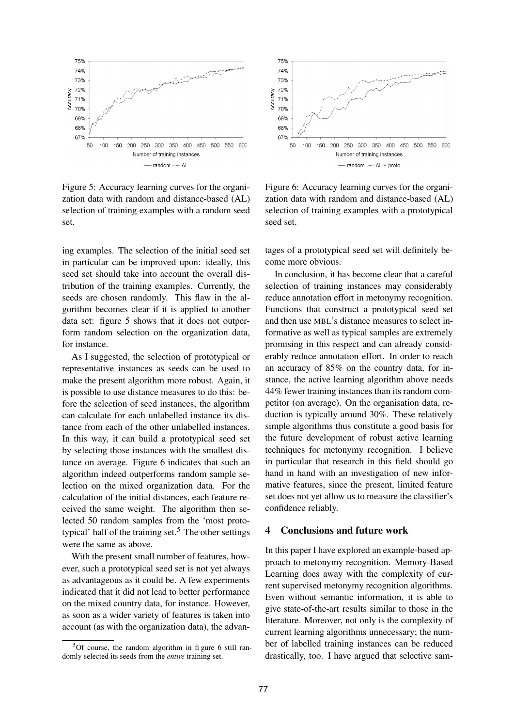

Figure 5: Accuracy learning curves for the organization data with random and distance-based (AL) selection of training examples with a random seed set.

ing examples. The selection of the initial seed set in particular can be improved upon: ideally, this seed set should take into account the overall distribution of the training examples. Currently, the seeds are chosen randomly. This flaw in the algorithm becomes clear if it is applied to another data set: figure 5 shows that it does not outperform random selection on the organization data, for instance.

As I suggested, the selection of prototypical or representative instances as seeds can be used to make the present algorithm more robust. Again, it is possible to use distance measures to do this: before the selection of seed instances, the algorithm can calculate for each unlabelled instance its distance from each of the other unlabelled instances. In this way, it can build a prototypical seed set by selecting those instances with the smallest distance on average. Figure 6 indicates that such an algorithm indeed outperforms random sample selection on the mixed organization data. For the calculation of the initial distances, each feature received the same weight. The algorithm then selected 50 random samples from the 'most prototypical' half of the training set.<sup>5</sup> The other settings were the same as above.

With the present small number of features, however, such a prototypical seed set is not yet always as advantageous as it could be. A few experiments indicated that it did not lead to better performance on the mixed country data, for instance. However, as soon as a wider variety of features is taken into account (as with the organization data), the advan-



Figure 6: Accuracy learning curves for the organization data with random and distance-based (AL) selection of training examples with a prototypical seed set.

tages of a prototypical seed set will definitely become more obvious.

In conclusion, it has become clear that a careful selection of training instances may considerably reduce annotation effort in metonymy recognition. Functions that construct a prototypical seed set and then use MBL's distance measures to select informative as well as typical samples are extremely promising in this respect and can already considerably reduce annotation effort. In order to reach an accuracy of 85% on the country data, for instance, the active learning algorithm above needs 44% fewer training instances than its random competitor (on average). On the organisation data, reduction is typically around 30%. These relatively simple algorithms thus constitute a good basis for the future development of robust active learning techniques for metonymy recognition. I believe in particular that research in this field should go hand in hand with an investigation of new informative features, since the present, limited feature set does not yet allow us to measure the classifier's confidence reliably.

#### **4 Conclusions and future work**

In this paper I have explored an example-based approach to metonymy recognition. Memory-Based Learning does away with the complexity of current supervised metonymy recognition algorithms. Even without semantic information, it is able to give state-of-the-art results similar to those in the literature. Moreover, not only is the complexity of current learning algorithms unnecessary; the number of labelled training instances can be reduced drastically, too. I have argued that selective sam-

 $5$ Of course, the random algorithm in fi gure 6 still randomly selected its seeds from the *entire* training set.